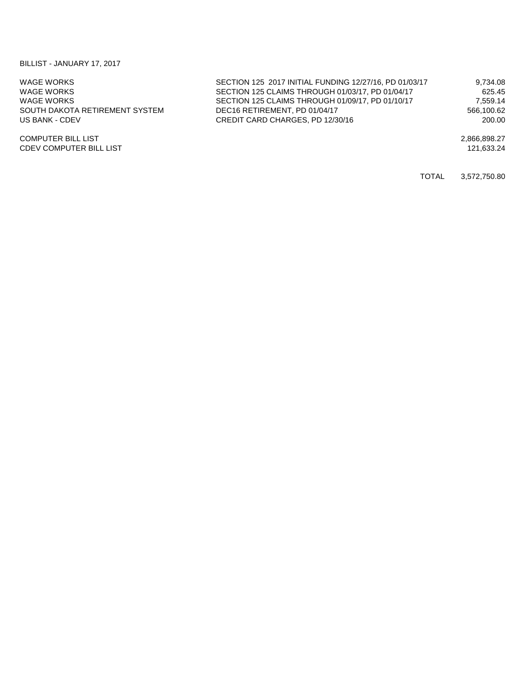## BILLIST - JANUARY 17, 2017

| WAGE WORKS                     | SECTION 125 2017 INITIAL FUNDING 12/27/16, PD 01/03/17 | 9.734.08     |
|--------------------------------|--------------------------------------------------------|--------------|
| WAGE WORKS                     | SECTION 125 CLAIMS THROUGH 01/03/17, PD 01/04/17       | 625.45       |
| WAGE WORKS                     | SECTION 125 CLAIMS THROUGH 01/09/17, PD 01/10/17       | 7.559.14     |
| SOUTH DAKOTA RETIREMENT SYSTEM | DEC16 RETIREMENT, PD 01/04/17                          | 566,100.62   |
| US BANK - CDEV                 | CREDIT CARD CHARGES, PD 12/30/16                       | 200.00       |
| <b>COMPUTER BILL LIST</b>      |                                                        | 2.866.898.27 |
| <b>CDEV COMPUTER BILL LIST</b> |                                                        | 121.633.24   |

TOTAL 3,572,750.80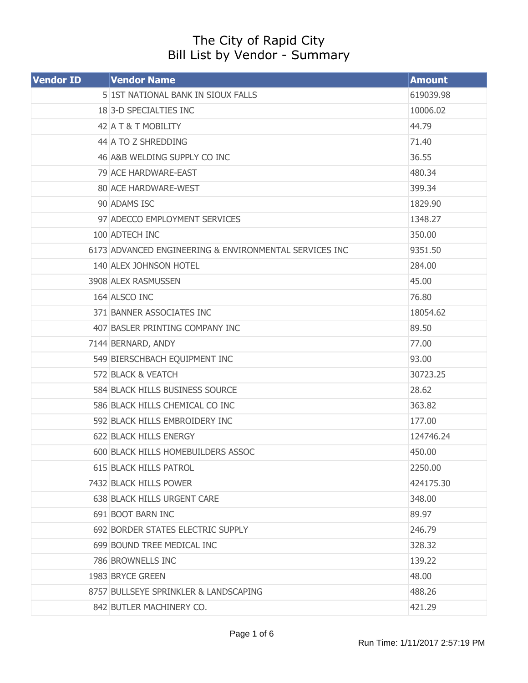## The City of Rapid City Bill List by Vendor - Summary

| <b>Vendor ID</b> | <b>Vendor Name</b>                                     | <b>Amount</b> |
|------------------|--------------------------------------------------------|---------------|
|                  | 5 1ST NATIONAL BANK IN SIOUX FALLS                     | 619039.98     |
|                  | 183-D SPECIALTIES INC                                  | 10006.02      |
|                  | 42 A T & T MOBILITY                                    | 44.79         |
|                  | 44 A TO Z SHREDDING                                    | 71.40         |
|                  | 46 A&B WELDING SUPPLY CO INC                           | 36.55         |
|                  | 79 ACE HARDWARE-EAST                                   | 480.34        |
|                  | 80 ACE HARDWARE-WEST                                   | 399.34        |
|                  | 90 ADAMS ISC                                           | 1829.90       |
|                  | 97 ADECCO EMPLOYMENT SERVICES                          | 1348.27       |
|                  | 100 ADTECH INC                                         | 350.00        |
|                  | 6173 ADVANCED ENGINEERING & ENVIRONMENTAL SERVICES INC | 9351.50       |
|                  | 140 ALEX JOHNSON HOTEL                                 | 284.00        |
|                  | 3908 ALEX RASMUSSEN                                    | 45.00         |
|                  | 164 ALSCO INC                                          | 76.80         |
|                  | 371 BANNER ASSOCIATES INC                              | 18054.62      |
|                  | 407 BASLER PRINTING COMPANY INC                        | 89.50         |
|                  | 7144 BERNARD, ANDY                                     | 77.00         |
|                  | 549 BIERSCHBACH EQUIPMENT INC                          | 93.00         |
|                  | 572 BLACK & VEATCH                                     | 30723.25      |
|                  | 584 BLACK HILLS BUSINESS SOURCE                        | 28.62         |
|                  | 586 BLACK HILLS CHEMICAL CO INC                        | 363.82        |
|                  | 592 BLACK HILLS EMBROIDERY INC                         | 177.00        |
|                  | 622 BLACK HILLS ENERGY                                 | 124746.24     |
|                  | 600 BLACK HILLS HOMEBUILDERS ASSOC                     | 450.00        |
|                  | <b>615 BLACK HILLS PATROL</b>                          | 2250.00       |
|                  | 7432 BLACK HILLS POWER                                 | 424175.30     |
|                  | 638 BLACK HILLS URGENT CARE                            | 348.00        |
|                  | 691 BOOT BARN INC                                      | 89.97         |
|                  | 692 BORDER STATES ELECTRIC SUPPLY                      | 246.79        |
|                  | 699 BOUND TREE MEDICAL INC                             | 328.32        |
|                  | 786 BROWNELLS INC                                      | 139.22        |
|                  | 1983 BRYCE GREEN                                       | 48.00         |
|                  | 8757 BULLSEYE SPRINKLER & LANDSCAPING                  | 488.26        |
|                  | 842 BUTLER MACHINERY CO.                               | 421.29        |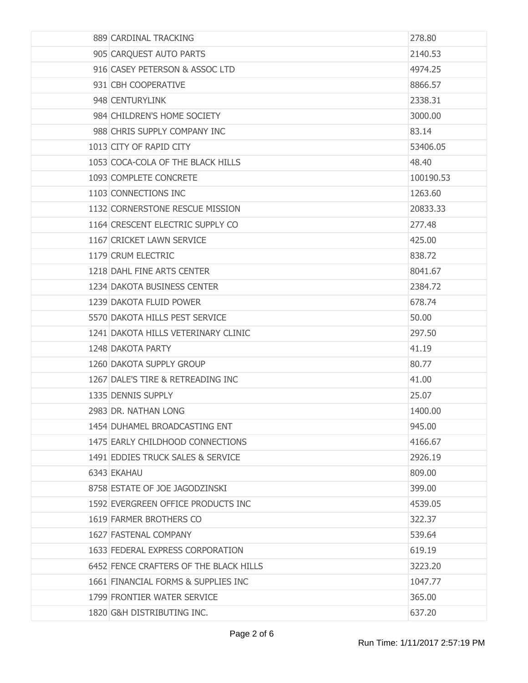| 889 CARDINAL TRACKING                  | 278.80    |
|----------------------------------------|-----------|
| 905 CARQUEST AUTO PARTS                | 2140.53   |
| 916 CASEY PETERSON & ASSOC LTD         | 4974.25   |
| 931 CBH COOPERATIVE                    | 8866.57   |
| 948 CENTURYLINK                        | 2338.31   |
| 984 CHILDREN'S HOME SOCIETY            | 3000.00   |
| 988 CHRIS SUPPLY COMPANY INC           | 83.14     |
| 1013 CITY OF RAPID CITY                | 53406.05  |
| 1053 COCA-COLA OF THE BLACK HILLS      | 48.40     |
| 1093 COMPLETE CONCRETE                 | 100190.53 |
| 1103 CONNECTIONS INC                   | 1263.60   |
| 1132 CORNERSTONE RESCUE MISSION        | 20833.33  |
| 1164 CRESCENT ELECTRIC SUPPLY CO       | 277.48    |
| 1167 CRICKET LAWN SERVICE              | 425.00    |
| 1179 CRUM ELECTRIC                     | 838.72    |
| 1218 DAHL FINE ARTS CENTER             | 8041.67   |
| 1234 DAKOTA BUSINESS CENTER            | 2384.72   |
| 1239 DAKOTA FLUID POWER                | 678.74    |
| 5570 DAKOTA HILLS PEST SERVICE         | 50.00     |
| 1241 DAKOTA HILLS VETERINARY CLINIC    | 297.50    |
| 1248 DAKOTA PARTY                      | 41.19     |
| 1260 DAKOTA SUPPLY GROUP               | 80.77     |
| 1267 DALE'S TIRE & RETREADING INC      | 41.00     |
| 1335 DENNIS SUPPLY                     | 25.07     |
| 2983 DR. NATHAN LONG                   | 1400.00   |
| 1454 DUHAMEL BROADCASTING ENT          | 945.00    |
| 1475 EARLY CHILDHOOD CONNECTIONS       | 4166.67   |
| 1491 EDDIES TRUCK SALES & SERVICE      | 2926.19   |
| 6343 EKAHAU                            | 809.00    |
| 8758 ESTATE OF JOE JAGODZINSKI         | 399.00    |
| 1592 EVERGREEN OFFICE PRODUCTS INC     | 4539.05   |
| 1619 FARMER BROTHERS CO                | 322.37    |
| 1627 FASTENAL COMPANY                  | 539.64    |
| 1633 FEDERAL EXPRESS CORPORATION       | 619.19    |
| 6452 FENCE CRAFTERS OF THE BLACK HILLS | 3223.20   |
| 1661 FINANCIAL FORMS & SUPPLIES INC    | 1047.77   |
| 1799 FRONTIER WATER SERVICE            | 365.00    |
| 1820 G&H DISTRIBUTING INC.             | 637.20    |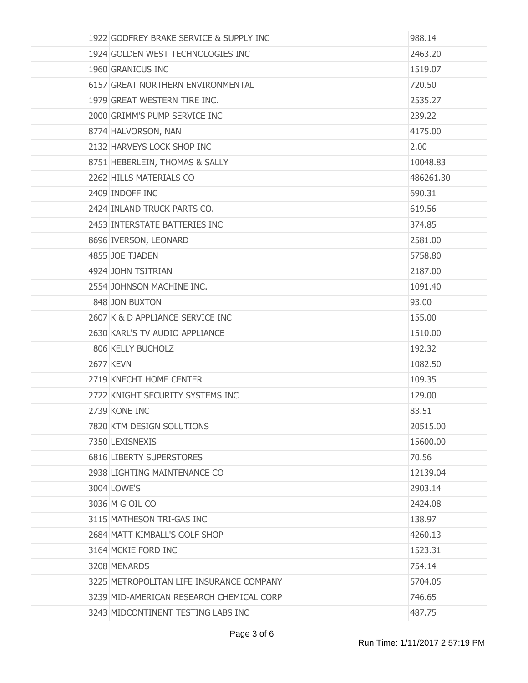| 1922 GODFREY BRAKE SERVICE & SUPPLY INC  | 988.14    |
|------------------------------------------|-----------|
| 1924 GOLDEN WEST TECHNOLOGIES INC        | 2463.20   |
| 1960 GRANICUS INC                        | 1519.07   |
| 6157 GREAT NORTHERN ENVIRONMENTAL        | 720.50    |
| 1979 GREAT WESTERN TIRE INC.             | 2535.27   |
| 2000 GRIMM'S PUMP SERVICE INC            | 239.22    |
| 8774 HALVORSON, NAN                      | 4175.00   |
| 2132 HARVEYS LOCK SHOP INC               | 2.00      |
| 8751 HEBERLEIN, THOMAS & SALLY           | 10048.83  |
| 2262 HILLS MATERIALS CO                  | 486261.30 |
| 2409 INDOFF INC                          | 690.31    |
| 2424 INLAND TRUCK PARTS CO.              | 619.56    |
| 2453 INTERSTATE BATTERIES INC            | 374.85    |
| 8696 IVERSON, LEONARD                    | 2581.00   |
| 4855 JOE TJADEN                          | 5758.80   |
| 4924 JOHN TSITRIAN                       | 2187.00   |
| 2554 JOHNSON MACHINE INC.                | 1091.40   |
| 848 JON BUXTON                           | 93.00     |
| 2607 K & D APPLIANCE SERVICE INC         | 155.00    |
| 2630 KARL'S TV AUDIO APPLIANCE           | 1510.00   |
| 806 KELLY BUCHOLZ                        | 192.32    |
| <b>2677 KEVN</b>                         | 1082.50   |
| 2719 KNECHT HOME CENTER                  | 109.35    |
| 2722 KNIGHT SECURITY SYSTEMS INC         | 129.00    |
| 2739 KONE INC                            | 83.51     |
| 7820 KTM DESIGN SOLUTIONS                | 20515.00  |
| 7350 LEXISNEXIS                          | 15600.00  |
| 6816 LIBERTY SUPERSTORES                 | 70.56     |
| 2938 LIGHTING MAINTENANCE CO             | 12139.04  |
| 3004 LOWE'S                              | 2903.14   |
| 3036 M G OIL CO                          | 2424.08   |
| 3115 MATHESON TRI-GAS INC                | 138.97    |
| 2684 MATT KIMBALL'S GOLF SHOP            | 4260.13   |
| 3164 MCKIE FORD INC                      | 1523.31   |
| 3208 MENARDS                             | 754.14    |
| 3225 METROPOLITAN LIFE INSURANCE COMPANY | 5704.05   |
| 3239 MID-AMERICAN RESEARCH CHEMICAL CORP | 746.65    |
| 3243 MIDCONTINENT TESTING LABS INC       | 487.75    |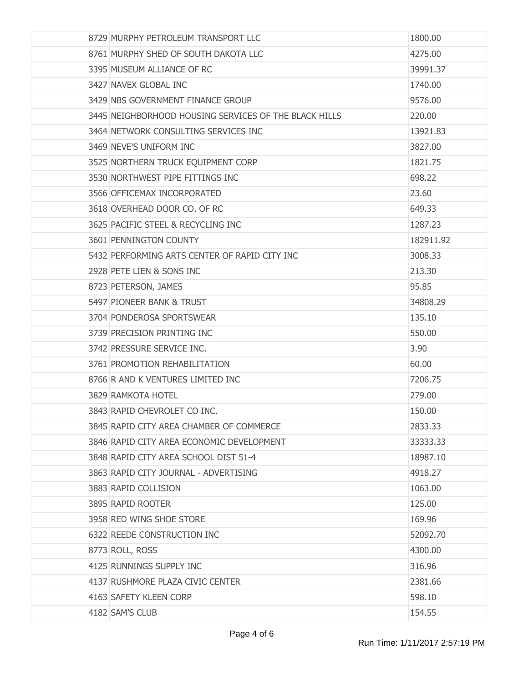| 8729 MURPHY PETROLEUM TRANSPORT LLC                   | 1800.00   |
|-------------------------------------------------------|-----------|
| 8761 MURPHY SHED OF SOUTH DAKOTA LLC                  | 4275.00   |
| 3395 MUSEUM ALLIANCE OF RC                            | 39991.37  |
| 3427 NAVEX GLOBAL INC                                 | 1740.00   |
| 3429 NBS GOVERNMENT FINANCE GROUP                     | 9576.00   |
| 3445 NEIGHBORHOOD HOUSING SERVICES OF THE BLACK HILLS | 220.00    |
| 3464 NETWORK CONSULTING SERVICES INC                  | 13921.83  |
| 3469 NEVE'S UNIFORM INC                               | 3827.00   |
| 3525 NORTHERN TRUCK EQUIPMENT CORP                    | 1821.75   |
| 3530 NORTHWEST PIPE FITTINGS INC                      | 698.22    |
| 3566 OFFICEMAX INCORPORATED                           | 23.60     |
| 3618 OVERHEAD DOOR CO. OF RC                          | 649.33    |
| 3625 PACIFIC STEEL & RECYCLING INC                    | 1287.23   |
| 3601 PENNINGTON COUNTY                                | 182911.92 |
| 5432 PERFORMING ARTS CENTER OF RAPID CITY INC         | 3008.33   |
| 2928 PETE LIEN & SONS INC                             | 213.30    |
| 8723 PETERSON, JAMES                                  | 95.85     |
| 5497 PIONEER BANK & TRUST                             | 34808.29  |
| 3704 PONDEROSA SPORTSWEAR                             | 135.10    |
| 3739 PRECISION PRINTING INC                           | 550.00    |
| 3742 PRESSURE SERVICE INC.                            | 3.90      |
| 3761 PROMOTION REHABILITATION                         | 60.00     |
| 8766 R AND K VENTURES LIMITED INC                     | 7206.75   |
| 3829 RAMKOTA HOTEL                                    | 279.00    |
| 3843 RAPID CHEVROLET CO INC.                          | 150.00    |
| 3845 RAPID CITY AREA CHAMBER OF COMMERCE              | 2833.33   |
| 3846 RAPID CITY AREA ECONOMIC DEVELOPMENT             | 33333.33  |
| 3848 RAPID CITY AREA SCHOOL DIST 51-4                 | 18987.10  |
| 3863 RAPID CITY JOURNAL - ADVERTISING                 | 4918.27   |
| 3883 RAPID COLLISION                                  | 1063.00   |
| 3895 RAPID ROOTER                                     | 125.00    |
| 3958 RED WING SHOE STORE                              | 169.96    |
| 6322 REEDE CONSTRUCTION INC                           | 52092.70  |
| 8773 ROLL, ROSS                                       | 4300.00   |
| 4125 RUNNINGS SUPPLY INC                              | 316.96    |
| 4137 RUSHMORE PLAZA CIVIC CENTER                      | 2381.66   |
| 4163 SAFETY KLEEN CORP                                | 598.10    |
| 4182 SAM'S CLUB                                       | 154.55    |